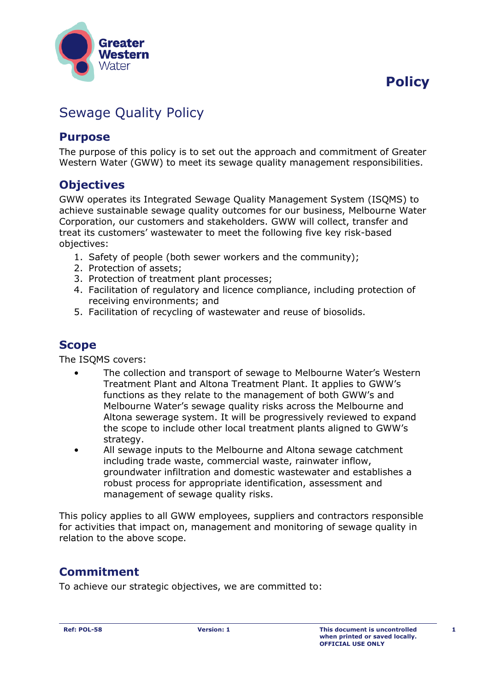



# Sewage Quality Policy

#### **Purpose**

The purpose of this policy is to set out the approach and commitment of Greater Western Water (GWW) to meet its sewage quality management responsibilities.

### **Objectives**

GWW operates its Integrated Sewage Quality Management System (ISQMS) to achieve sustainable sewage quality outcomes for our business, Melbourne Water Corporation, our customers and stakeholders. GWW will collect, transfer and treat its customers' wastewater to meet the following five key risk-based objectives:

- 1. Safety of people (both sewer workers and the community);
- 2. Protection of assets;
- 3. Protection of treatment plant processes;
- 4. Facilitation of regulatory and licence compliance, including protection of receiving environments; and
- 5. Facilitation of recycling of wastewater and reuse of biosolids.

### **Scope**

The ISQMS covers:

- The collection and transport of sewage to Melbourne Water's Western Treatment Plant and Altona Treatment Plant. It applies to GWW's functions as they relate to the management of both GWW's and Melbourne Water's sewage quality risks across the Melbourne and Altona sewerage system. It will be progressively reviewed to expand the scope to include other local treatment plants aligned to GWW's strategy.
- All sewage inputs to the Melbourne and Altona sewage catchment including trade waste, commercial waste, rainwater inflow, groundwater infiltration and domestic wastewater and establishes a robust process for appropriate identification, assessment and management of sewage quality risks.

This policy applies to all GWW employees, suppliers and contractors responsible for activities that impact on, management and monitoring of sewage quality in relation to the above scope.

## **Commitment**

To achieve our strategic objectives, we are committed to: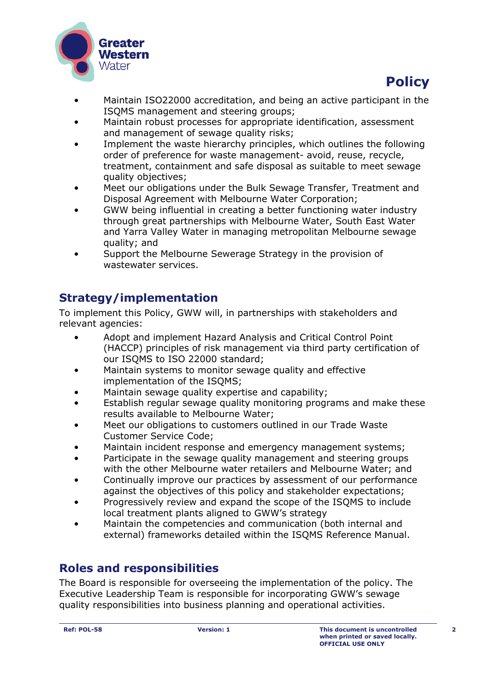



- Maintain ISO22000 accreditation, and being an active participant in the ISQMS management and steering groups;
- Maintain robust processes for appropriate identification, assessment and management of sewage quality risks;
- Implement the waste hierarchy principles, which outlines the following order of preference for waste management- avoid, reuse, recycle, treatment, containment and safe disposal as suitable to meet sewage quality objectives;
- Meet our obligations under the Bulk Sewage Transfer, Treatment and Disposal Agreement with Melbourne Water Corporation;
- GWW being influential in creating a better functioning water industry through great partnerships with Melbourne Water, South East Water and Yarra Valley Water in managing metropolitan Melbourne sewage quality; and
- Support the Melbourne Sewerage Strategy in the provision of wastewater services.

### **Strategy/implementation**

To implement this Policy, GWW will, in partnerships with stakeholders and relevant agencies:

- Adopt and implement Hazard Analysis and Critical Control Point (HACCP) principles of risk management via third party certification of our ISQMS to ISO 22000 standard;
- Maintain systems to monitor sewage quality and effective implementation of the ISQMS;
- Maintain sewage quality expertise and capability;
- Establish regular sewage quality monitoring programs and make these results available to Melbourne Water;
- Meet our obligations to customers outlined in our Trade Waste Customer Service Code;
- Maintain incident response and emergency management systems;
- Participate in the sewage quality management and steering groups with the other Melbourne water retailers and Melbourne Water; and
- Continually improve our practices by assessment of our performance against the objectives of this policy and stakeholder expectations;
- Progressively review and expand the scope of the ISQMS to include local treatment plants aligned to GWW's strategy
- Maintain the competencies and communication (both internal and external) frameworks detailed within the ISQMS Reference Manual.

### **Roles and responsibilities**

The Board is responsible for overseeing the implementation of the policy. The Executive Leadership Team is responsible for incorporating GWW's sewage quality responsibilities into business planning and operational activities.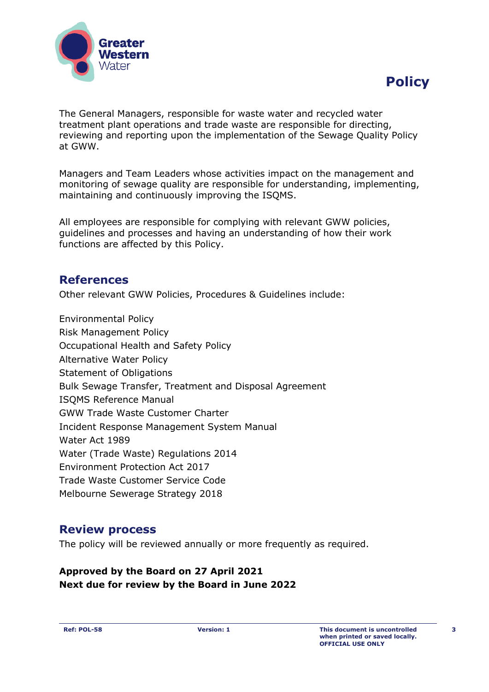



The General Managers, responsible for waste water and recycled water treatment plant operations and trade waste are responsible for directing, reviewing and reporting upon the implementation of the Sewage Quality Policy at GWW.

Managers and Team Leaders whose activities impact on the management and monitoring of sewage quality are responsible for understanding, implementing, maintaining and continuously improving the ISQMS.

All employees are responsible for complying with relevant GWW policies, guidelines and processes and having an understanding of how their work functions are affected by this Policy.

#### **References**

Other relevant GWW Policies, Procedures & Guidelines include:

Environmental Policy Risk Management Policy Occupational Health and Safety Policy Alternative Water Policy Statement of Obligations Bulk Sewage Transfer, Treatment and Disposal Agreement ISQMS Reference Manual GWW Trade Waste Customer Charter Incident Response Management System Manual Water Act 1989 Water (Trade Waste) Regulations 2014 Environment Protection Act 2017 Trade Waste Customer Service Code Melbourne Sewerage Strategy 2018

#### **Review process**

The policy will be reviewed annually or more frequently as required.

#### **Approved by the Board on 27 April 2021 Next due for review by the Board in June 2022**